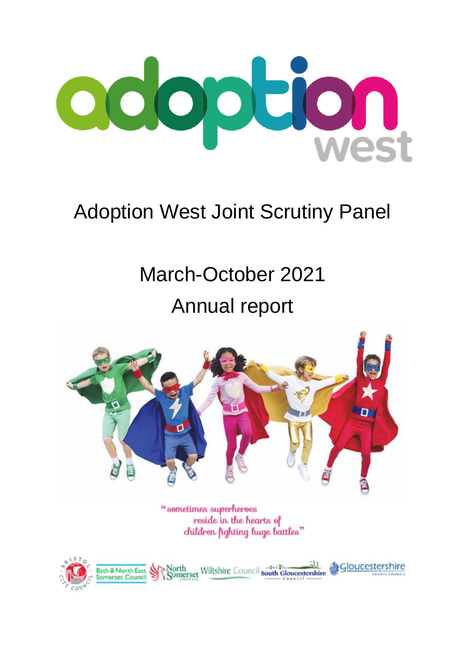

# Adoption West Joint Scrutiny Panel

# March-October 2021 Annual report



"sometimes superheroes reside in the hearts of children fighting huge battles"

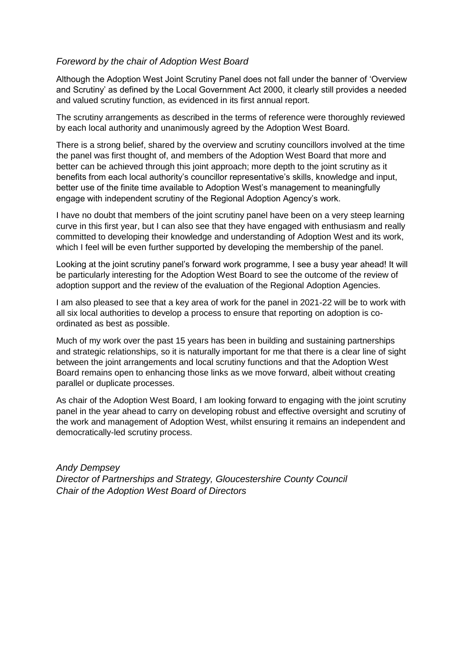#### *Foreword by the chair of Adoption West Board*

Although the Adoption West Joint Scrutiny Panel does not fall under the banner of 'Overview and Scrutiny' as defined by the Local Government Act 2000, it clearly still provides a needed and valued scrutiny function, as evidenced in its first annual report.

The scrutiny arrangements as described in the terms of reference were thoroughly reviewed by each local authority and unanimously agreed by the Adoption West Board.

There is a strong belief, shared by the overview and scrutiny councillors involved at the time the panel was first thought of, and members of the Adoption West Board that more and better can be achieved through this joint approach; more depth to the joint scrutiny as it benefits from each local authority's councillor representative's skills, knowledge and input, better use of the finite time available to Adoption West's management to meaningfully engage with independent scrutiny of the Regional Adoption Agency's work.

I have no doubt that members of the joint scrutiny panel have been on a very steep learning curve in this first year, but I can also see that they have engaged with enthusiasm and really committed to developing their knowledge and understanding of Adoption West and its work, which I feel will be even further supported by developing the membership of the panel.

Looking at the joint scrutiny panel's forward work programme, I see a busy year ahead! It will be particularly interesting for the Adoption West Board to see the outcome of the review of adoption support and the review of the evaluation of the Regional Adoption Agencies.

I am also pleased to see that a key area of work for the panel in 2021-22 will be to work with all six local authorities to develop a process to ensure that reporting on adoption is coordinated as best as possible.

Much of my work over the past 15 years has been in building and sustaining partnerships and strategic relationships, so it is naturally important for me that there is a clear line of sight between the joint arrangements and local scrutiny functions and that the Adoption West Board remains open to enhancing those links as we move forward, albeit without creating parallel or duplicate processes.

As chair of the Adoption West Board, I am looking forward to engaging with the joint scrutiny panel in the year ahead to carry on developing robust and effective oversight and scrutiny of the work and management of Adoption West, whilst ensuring it remains an independent and democratically-led scrutiny process.

*Andy Dempsey Director of Partnerships and Strategy, Gloucestershire County Council Chair of the Adoption West Board of Directors*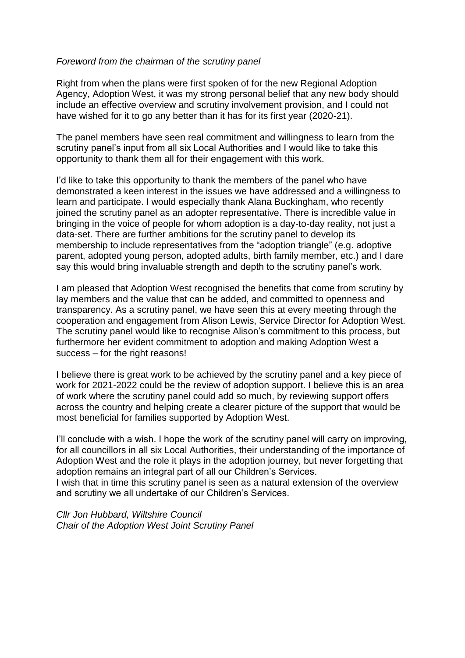#### *Foreword from the chairman of the scrutiny panel*

Right from when the plans were first spoken of for the new Regional Adoption Agency, Adoption West, it was my strong personal belief that any new body should include an effective overview and scrutiny involvement provision, and I could not have wished for it to go any better than it has for its first year (2020-21).

The panel members have seen real commitment and willingness to learn from the scrutiny panel's input from all six Local Authorities and I would like to take this opportunity to thank them all for their engagement with this work.

I'd like to take this opportunity to thank the members of the panel who have demonstrated a keen interest in the issues we have addressed and a willingness to learn and participate. I would especially thank Alana Buckingham, who recently joined the scrutiny panel as an adopter representative. There is incredible value in bringing in the voice of people for whom adoption is a day-to-day reality, not just a data-set. There are further ambitions for the scrutiny panel to develop its membership to include representatives from the "adoption triangle" (e.g. adoptive parent, adopted young person, adopted adults, birth family member, etc.) and I dare say this would bring invaluable strength and depth to the scrutiny panel's work.

I am pleased that Adoption West recognised the benefits that come from scrutiny by lay members and the value that can be added, and committed to openness and transparency. As a scrutiny panel, we have seen this at every meeting through the cooperation and engagement from Alison Lewis, Service Director for Adoption West. The scrutiny panel would like to recognise Alison's commitment to this process, but furthermore her evident commitment to adoption and making Adoption West a success – for the right reasons!

I believe there is great work to be achieved by the scrutiny panel and a key piece of work for 2021-2022 could be the review of adoption support. I believe this is an area of work where the scrutiny panel could add so much, by reviewing support offers across the country and helping create a clearer picture of the support that would be most beneficial for families supported by Adoption West.

I'll conclude with a wish. I hope the work of the scrutiny panel will carry on improving, for all councillors in all six Local Authorities, their understanding of the importance of Adoption West and the role it plays in the adoption journey, but never forgetting that adoption remains an integral part of all our Children's Services.

I wish that in time this scrutiny panel is seen as a natural extension of the overview and scrutiny we all undertake of our Children's Services.

*Cllr Jon Hubbard, Wiltshire Council Chair of the Adoption West Joint Scrutiny Panel*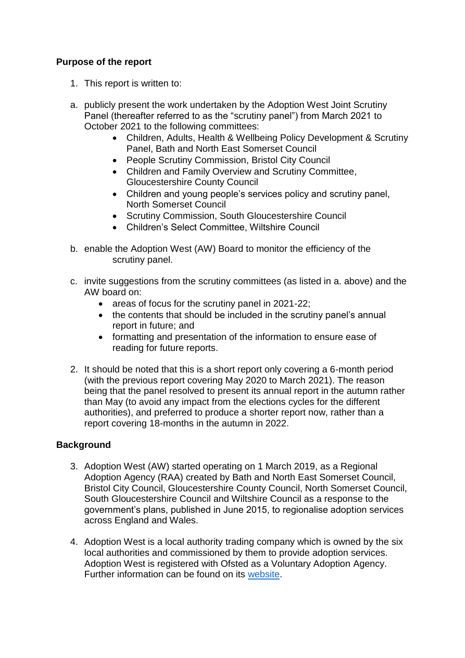# **Purpose of the report**

- 1. This report is written to:
- a. publicly present the work undertaken by the Adoption West Joint Scrutiny Panel (thereafter referred to as the "scrutiny panel") from March 2021 to October 2021 to the following committees:
	- Children, Adults, Health & Wellbeing Policy Development & Scrutiny Panel, Bath and North East Somerset Council
	- People Scrutiny Commission, Bristol City Council
	- Children and Family Overview and Scrutiny Committee, Gloucestershire County Council
	- Children and young people's services policy and scrutiny panel, North Somerset Council
	- Scrutiny Commission, South Gloucestershire Council
	- Children's Select Committee, Wiltshire Council
- b. enable the Adoption West (AW) Board to monitor the efficiency of the scrutiny panel.
- c. invite suggestions from the scrutiny committees (as listed in a. above) and the AW board on:
	- areas of focus for the scrutiny panel in 2021-22;
	- the contents that should be included in the scrutiny panel's annual report in future; and
	- formatting and presentation of the information to ensure ease of reading for future reports.
- 2. It should be noted that this is a short report only covering a 6-month period (with the previous report covering May 2020 to March 2021). The reason being that the panel resolved to present its annual report in the autumn rather than May (to avoid any impact from the elections cycles for the different authorities), and preferred to produce a shorter report now, rather than a report covering 18-months in the autumn in 2022.

# **Background**

- 3. Adoption West (AW) started operating on 1 March 2019, as a Regional Adoption Agency (RAA) created by Bath and North East Somerset Council, Bristol City Council, Gloucestershire County Council, North Somerset Council, South Gloucestershire Council and Wiltshire Council as a response to the government's plans, published in June 2015, to regionalise adoption services across England and Wales.
- 4. Adoption West is a local authority trading company which is owned by the six local authorities and commissioned by them to provide adoption services. Adoption West is registered with Ofsted as a Voluntary Adoption Agency. Further information can be found on its [website.](https://adoptionwest.co.uk/)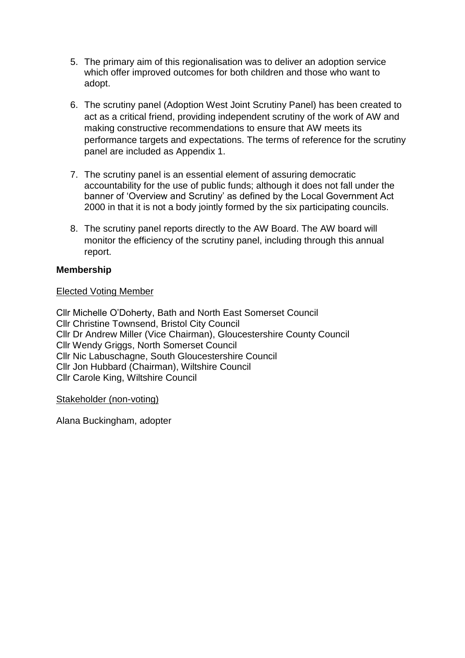- 5. The primary aim of this regionalisation was to deliver an adoption service which offer improved outcomes for both children and those who want to adopt.
- 6. The scrutiny panel (Adoption West Joint Scrutiny Panel) has been created to act as a critical friend, providing independent scrutiny of the work of AW and making constructive recommendations to ensure that AW meets its performance targets and expectations. The terms of reference for the scrutiny panel are included as Appendix 1.
- 7. The scrutiny panel is an essential element of assuring democratic accountability for the use of public funds; although it does not fall under the banner of 'Overview and Scrutiny' as defined by the Local Government Act 2000 in that it is not a body jointly formed by the six participating councils.
- 8. The scrutiny panel reports directly to the AW Board. The AW board will monitor the efficiency of the scrutiny panel, including through this annual report.

# **Membership**

#### Elected Voting Member

Cllr Michelle O'Doherty, Bath and North East Somerset Council Cllr Christine Townsend, Bristol City Council Cllr Dr Andrew Miller (Vice Chairman), Gloucestershire County Council Cllr Wendy Griggs, North Somerset Council Cllr Nic Labuschagne, South Gloucestershire Council Cllr Jon Hubbard (Chairman), Wiltshire Council Cllr Carole King, Wiltshire Council

#### Stakeholder (non-voting)

Alana Buckingham, adopter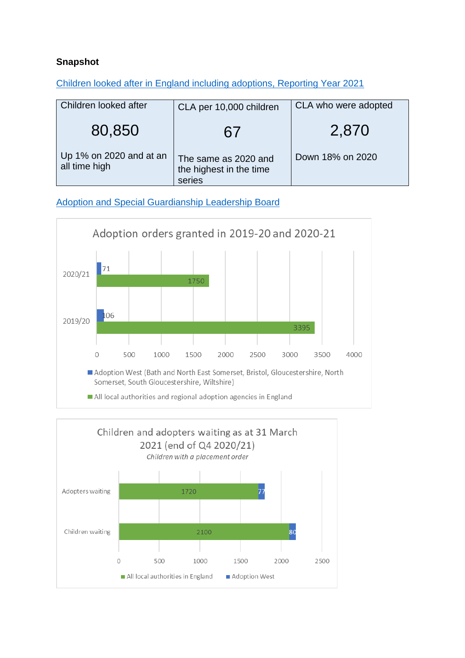# **Snapshot**

[Children looked after in England including adoptions, Reporting Year 2021](https://explore-education-statistics.service.gov.uk/find-statistics/children-looked-after-in-england-including-adoptions/2021)

| Children looked after                    | CLA per 10,000 children                                   | CLA who were adopted |
|------------------------------------------|-----------------------------------------------------------|----------------------|
| 80,850                                   | 67                                                        | 2,870                |
| Up 1% on 2020 and at an<br>all time high | The same as 2020 and<br>the highest in the time<br>series | Down 18% on 2020     |

[Adoption and Special Guardianship Leadership Board](https://coram-i.org.uk/asglb/data/)



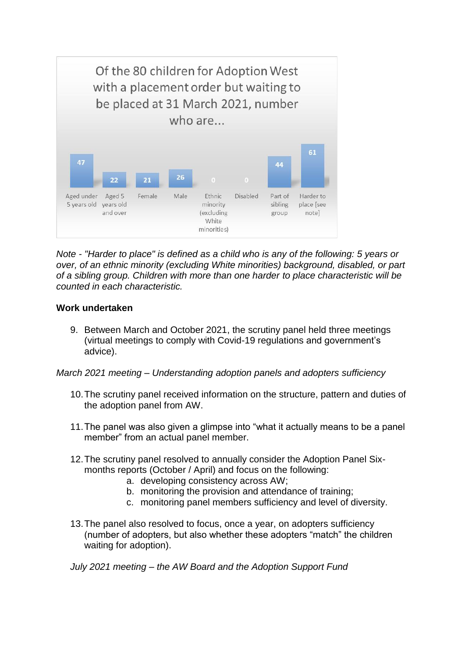

*Note - "Harder to place" is defined as a child who is any of the following: 5 years or over, of an ethnic minority (excluding White minorities) background, disabled, or part of a sibling group. Children with more than one harder to place characteristic will be counted in each characteristic.*

#### **Work undertaken**

9. Between March and October 2021, the scrutiny panel held three meetings (virtual meetings to comply with Covid-19 regulations and government's advice).

*March 2021 meeting – Understanding adoption panels and adopters sufficiency*

- 10.The scrutiny panel received information on the structure, pattern and duties of the adoption panel from AW.
- 11.The panel was also given a glimpse into "what it actually means to be a panel member" from an actual panel member.
- 12.The scrutiny panel resolved to annually consider the Adoption Panel Sixmonths reports (October / April) and focus on the following:
	- a. developing consistency across AW;
	- b. monitoring the provision and attendance of training;
	- c. monitoring panel members sufficiency and level of diversity.
- 13.The panel also resolved to focus, once a year, on adopters sufficiency (number of adopters, but also whether these adopters "match" the children waiting for adoption).

*July 2021 meeting – the AW Board and the Adoption Support Fund*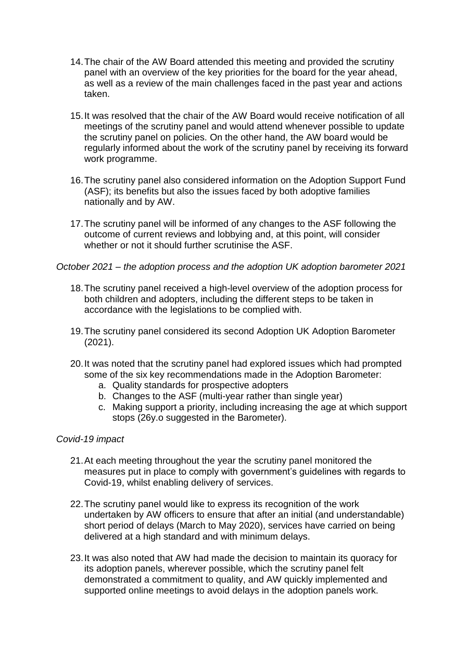- 14.The chair of the AW Board attended this meeting and provided the scrutiny panel with an overview of the key priorities for the board for the year ahead, as well as a review of the main challenges faced in the past year and actions taken.
- 15.It was resolved that the chair of the AW Board would receive notification of all meetings of the scrutiny panel and would attend whenever possible to update the scrutiny panel on policies. On the other hand, the AW board would be regularly informed about the work of the scrutiny panel by receiving its forward work programme.
- 16.The scrutiny panel also considered information on the Adoption Support Fund (ASF); its benefits but also the issues faced by both adoptive families nationally and by AW.
- 17.The scrutiny panel will be informed of any changes to the ASF following the outcome of current reviews and lobbying and, at this point, will consider whether or not it should further scrutinise the ASF.

*October 2021 – the adoption process and the adoption UK adoption barometer 2021*

- 18.The scrutiny panel received a high-level overview of the adoption process for both children and adopters, including the different steps to be taken in accordance with the legislations to be complied with.
- 19.The scrutiny panel considered its second Adoption UK Adoption Barometer (2021).
- 20.It was noted that the scrutiny panel had explored issues which had prompted some of the six key recommendations made in the Adoption Barometer:
	- a. Quality standards for prospective adopters
	- b. Changes to the ASF (multi-year rather than single year)
	- c. Making support a priority, including increasing the age at which support stops (26y.o suggested in the Barometer).
- *Covid-19 impact*
	- 21.At each meeting throughout the year the scrutiny panel monitored the measures put in place to comply with government's guidelines with regards to Covid-19, whilst enabling delivery of services.
	- 22.The scrutiny panel would like to express its recognition of the work undertaken by AW officers to ensure that after an initial (and understandable) short period of delays (March to May 2020), services have carried on being delivered at a high standard and with minimum delays.
	- 23.It was also noted that AW had made the decision to maintain its quoracy for its adoption panels, wherever possible, which the scrutiny panel felt demonstrated a commitment to quality, and AW quickly implemented and supported online meetings to avoid delays in the adoption panels work.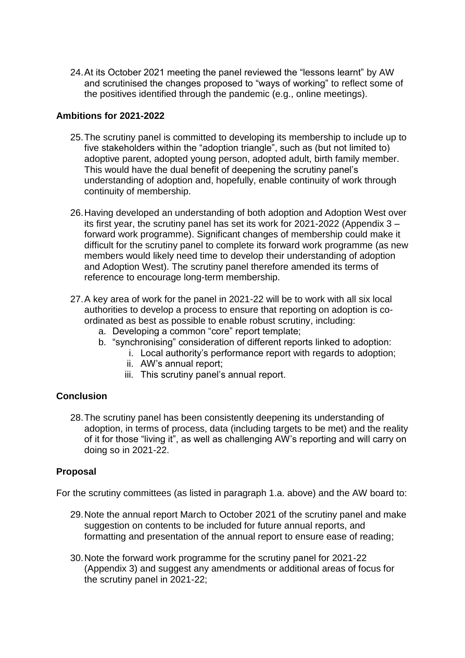24.At its October 2021 meeting the panel reviewed the "lessons learnt" by AW and scrutinised the changes proposed to "ways of working" to reflect some of the positives identified through the pandemic (e.g., online meetings).

#### **Ambitions for 2021-2022**

- 25.The scrutiny panel is committed to developing its membership to include up to five stakeholders within the "adoption triangle", such as (but not limited to) adoptive parent, adopted young person, adopted adult, birth family member. This would have the dual benefit of deepening the scrutiny panel's understanding of adoption and, hopefully, enable continuity of work through continuity of membership.
- 26.Having developed an understanding of both adoption and Adoption West over its first year, the scrutiny panel has set its work for 2021-2022 (Appendix 3 – forward work programme). Significant changes of membership could make it difficult for the scrutiny panel to complete its forward work programme (as new members would likely need time to develop their understanding of adoption and Adoption West). The scrutiny panel therefore amended its terms of reference to encourage long-term membership.
- 27.A key area of work for the panel in 2021-22 will be to work with all six local authorities to develop a process to ensure that reporting on adoption is coordinated as best as possible to enable robust scrutiny, including:
	- a. Developing a common "core" report template;
	- b. "synchronising" consideration of different reports linked to adoption:
		- i. Local authority's performance report with regards to adoption;
			- ii. AW's annual report;
			- iii. This scrutiny panel's annual report.

# **Conclusion**

28.The scrutiny panel has been consistently deepening its understanding of adoption, in terms of process, data (including targets to be met) and the reality of it for those "living it", as well as challenging AW's reporting and will carry on doing so in 2021-22.

# **Proposal**

For the scrutiny committees (as listed in paragraph 1.a. above) and the AW board to:

- 29.Note the annual report March to October 2021 of the scrutiny panel and make suggestion on contents to be included for future annual reports, and formatting and presentation of the annual report to ensure ease of reading;
- 30.Note the forward work programme for the scrutiny panel for 2021-22 (Appendix 3) and suggest any amendments or additional areas of focus for the scrutiny panel in 2021-22;